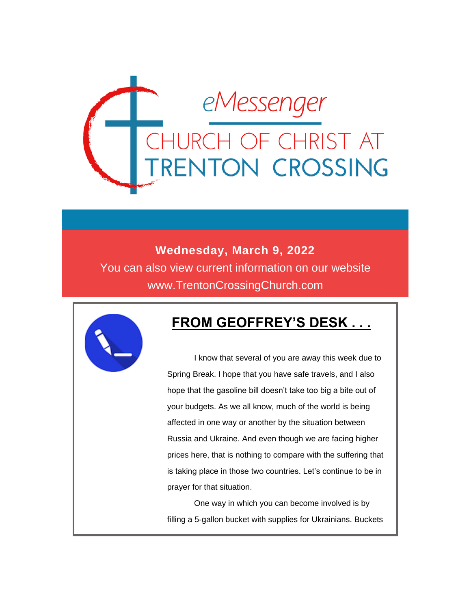

#### **Wednesday, March 9, 2022**

You can also view current information on our website www.TrentonCrossingChurch.com



## **FROM GEOFFREY'S DESK . . .**

 I know that several of you are away this week due to Spring Break. I hope that you have safe travels, and I also hope that the gasoline bill doesn't take too big a bite out of your budgets. As we all know, much of the world is being affected in one way or another by the situation between Russia and Ukraine. And even though we are facing higher prices here, that is nothing to compare with the suffering that is taking place in those two countries. Let's continue to be in prayer for that situation.

 One way in which you can become involved is by filling a 5-gallon bucket with supplies for Ukrainians. Buckets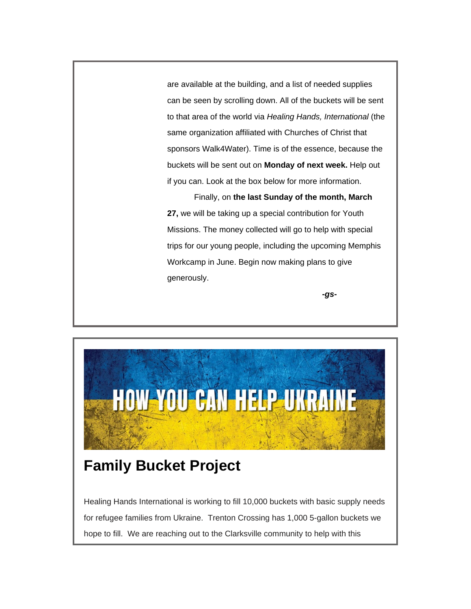are available at the building, and a list of needed supplies can be seen by scrolling down. All of the buckets will be sent to that area of the world via *Healing Hands, International* (the same organization affiliated with Churches of Christ that sponsors Walk4Water). Time is of the essence, because the buckets will be sent out on **Monday of next week.** Help out if you can. Look at the box below for more information.

 Finally, on **the last Sunday of the month, March 27,** we will be taking up a special contribution for Youth Missions. The money collected will go to help with special trips for our young people, including the upcoming Memphis Workcamp in June. Begin now making plans to give generously.

*-gs-*



## **Family Bucket Project**

Healing Hands International is working to fill 10,000 buckets with basic supply needs for refugee families from Ukraine. Trenton Crossing has 1,000 5-gallon buckets we hope to fill. We are reaching out to the Clarksville community to help with this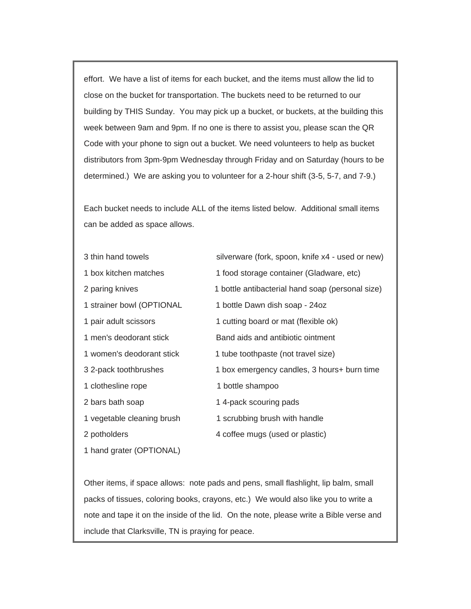effort. We have a list of items for each bucket, and the items must allow the lid to close on the bucket for transportation. The buckets need to be returned to our building by THIS Sunday. You may pick up a bucket, or buckets, at the building this week between 9am and 9pm. If no one is there to assist you, please scan the QR Code with your phone to sign out a bucket. We need volunteers to help as bucket distributors from 3pm-9pm Wednesday through Friday and on Saturday (hours to be determined.) We are asking you to volunteer for a 2-hour shift (3-5, 5-7, and 7-9.)

Each bucket needs to include ALL of the items listed below. Additional small items can be added as space allows.

| 3 thin hand towels         | silverware (fork, spoon, knife x4 - used or new) |
|----------------------------|--------------------------------------------------|
| 1 box kitchen matches      | 1 food storage container (Gladware, etc)         |
| 2 paring knives            | 1 bottle antibacterial hand soap (personal size) |
| 1 strainer bowl (OPTIONAL  | 1 bottle Dawn dish soap - 24oz                   |
| 1 pair adult scissors      | 1 cutting board or mat (flexible ok)             |
| 1 men's deodorant stick    | Band aids and antibiotic ointment                |
| 1 women's deodorant stick  | 1 tube toothpaste (not travel size)              |
| 3 2-pack toothbrushes      | 1 box emergency candles, 3 hours+ burn time      |
| 1 clothesline rope         | 1 bottle shampoo                                 |
| 2 bars bath soap           | 1 4-pack scouring pads                           |
| 1 vegetable cleaning brush | 1 scrubbing brush with handle                    |
| 2 potholders               | 4 coffee mugs (used or plastic)                  |
| 1 hand grater (OPTIONAL)   |                                                  |

Other items, if space allows: note pads and pens, small flashlight, lip balm, small packs of tissues, coloring books, crayons, etc.) We would also like you to write a note and tape it on the inside of the lid. On the note, please write a Bible verse and include that Clarksville, TN is praying for peace.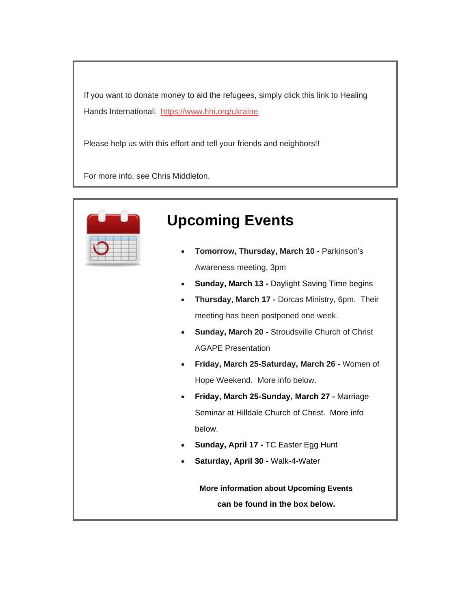If you want to donate money to aid the refugees, simply click this link to Healing Hands International: <https://www.hhi.org/ukraine>

Please help us with this effort and tell your friends and neighbors!!

For more info, see Chris Middleton.



## **Upcoming Events**

- **Tomorrow, Thursday, March 10 -** Parkinson's Awareness meeting, 3pm
- **Sunday, March 13 Daylight Saving Time begins**
- **Thursday, March 17 -** Dorcas Ministry, 6pm. Their meeting has been postponed one week.
- **Sunday, March 20 -** Stroudsville Church of Christ AGAPE Presentation
- **Friday, March 25-Saturday, March 26 -** Women of Hope Weekend. More info below.
- **Friday, March 25-Sunday, March 27 -** Marriage Seminar at Hilldale Church of Christ. More info below.
- **Sunday, April 17 -** TC Easter Egg Hunt
- **Saturday, April 30 -** Walk-4-Water

**More information about Upcoming Events can be found in the box below.**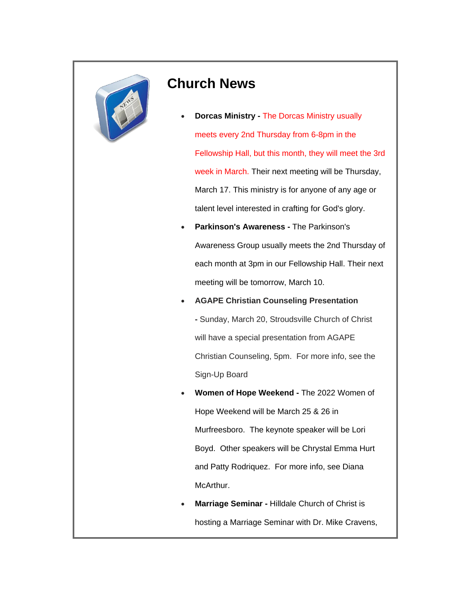

#### **Church News**

- **Dorcas Ministry -** The Dorcas Ministry usually meets every 2nd Thursday from 6-8pm in the Fellowship Hall, but this month, they will meet the 3rd week in March. Their next meeting will be Thursday, March 17. This ministry is for anyone of any age or talent level interested in crafting for God's glory.
- **Parkinson's Awareness -** The Parkinson's Awareness Group usually meets the 2nd Thursday of each month at 3pm in our Fellowship Hall. Their next meeting will be tomorrow, March 10.
- **AGAPE Christian Counseling Presentation** 
	- **-** Sunday, March 20, Stroudsville Church of Christ will have a special presentation from AGAPE Christian Counseling, 5pm. For more info, see the Sign-Up Board
- **Women of Hope Weekend -** The 2022 Women of Hope Weekend will be March 25 & 26 in Murfreesboro. The keynote speaker will be Lori Boyd. Other speakers will be Chrystal Emma Hurt and Patty Rodriquez. For more info, see Diana McArthur.
- **Marriage Seminar -** Hilldale Church of Christ is hosting a Marriage Seminar with Dr. Mike Cravens,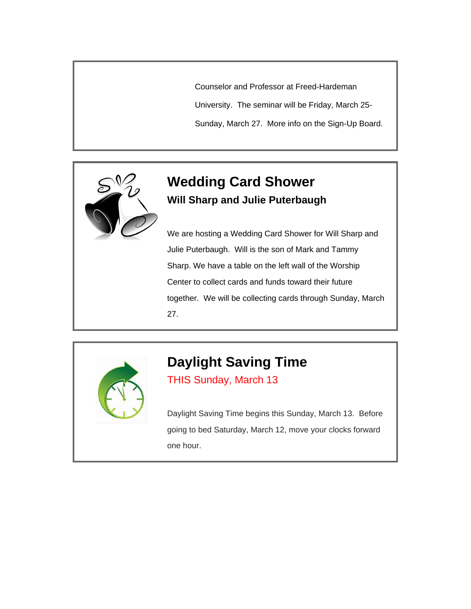Counselor and Professor at Freed-Hardeman University. The seminar will be Friday, March 25- Sunday, March 27. More info on the Sign-Up Board.



#### **Wedding Card Shower Will Sharp and Julie Puterbaugh**

We are hosting a Wedding Card Shower for Will Sharp and Julie Puterbaugh. Will is the son of Mark and Tammy Sharp. We have a table on the left wall of the Worship Center to collect cards and funds toward their future together. We will be collecting cards through Sunday, March 27.



## **Daylight Saving Time**

THIS Sunday, March 13

Daylight Saving Time begins this Sunday, March 13. Before going to bed Saturday, March 12, move your clocks forward one hour.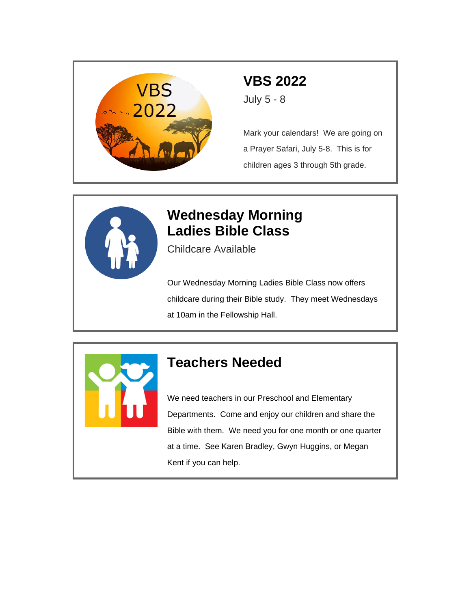

# **VBS 2022**

July 5 - 8

Mark your calendars! We are going on a Prayer Safari, July 5-8. This is for children ages 3 through 5th grade.



## **Wednesday Morning Ladies Bible Class**

Childcare Available

Our Wednesday Morning Ladies Bible Class now offers childcare during their Bible study. They meet Wednesdays at 10am in the Fellowship Hall.



## **Teachers Needed**

We need teachers in our Preschool and Elementary Departments. Come and enjoy our children and share the Bible with them. We need you for one month or one quarter at a time. See Karen Bradley, Gwyn Huggins, or Megan Kent if you can help.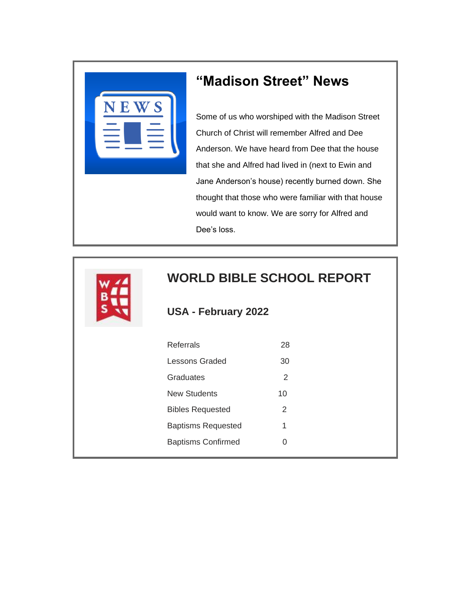

### **"Madison Street" News**

Some of us who worshiped with the Madison Street Church of Christ will remember Alfred and Dee Anderson. We have heard from Dee that the house that she and Alfred had lived in (next to Ewin and Jane Anderson's house) recently burned down. She thought that those who were familiar with that house would want to know. We are sorry for Alfred and Dee's loss.

#### **WORLD BIBLE SCHOOL REPORT**

#### **USA - February 2022**

| Referrals                 | 28 |  |
|---------------------------|----|--|
| Lessons Graded            | 30 |  |
| Graduates                 | 2  |  |
| New Students              | 10 |  |
| <b>Bibles Requested</b>   | 2  |  |
| <b>Baptisms Requested</b> | 1  |  |
| <b>Baptisms Confirmed</b> |    |  |
|                           |    |  |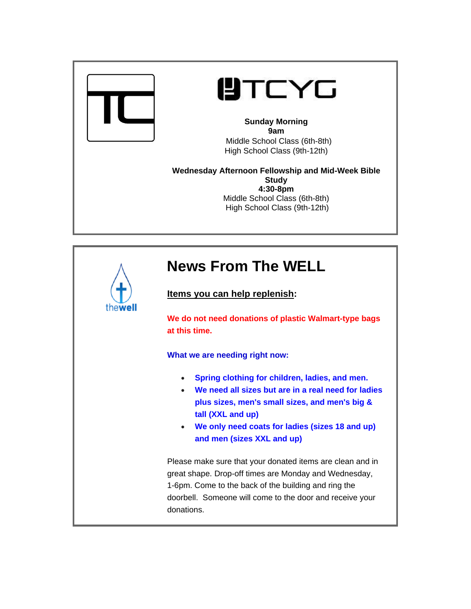

# **UTCYG**

#### **Sunday Morning 9am** Middle School Class (6th-8th) High School Class (9th-12th)

**Wednesday Afternoon Fellowship and Mid-Week Bible Study 4:30-8pm** Middle School Class (6th-8th) High School Class (9th-12th)

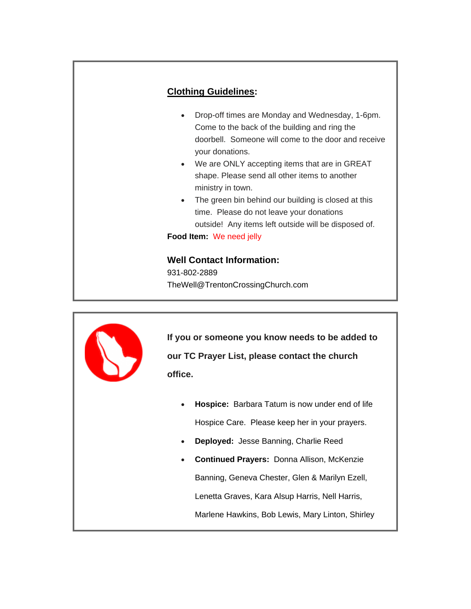#### **Clothing Guidelines:**

- Drop-off times are Monday and Wednesday, 1-6pm. Come to the back of the building and ring the doorbell. Someone will come to the door and receive your donations.
- We are ONLY accepting items that are in GREAT shape. Please send all other items to another ministry in town.
- The green bin behind our building is closed at this time. Please do not leave your donations outside! Any items left outside will be disposed of.

**Food Item:** We need jelly

#### **Well Contact Information:**

931-802-2889 TheWell@TrentonCrossingChurch.com

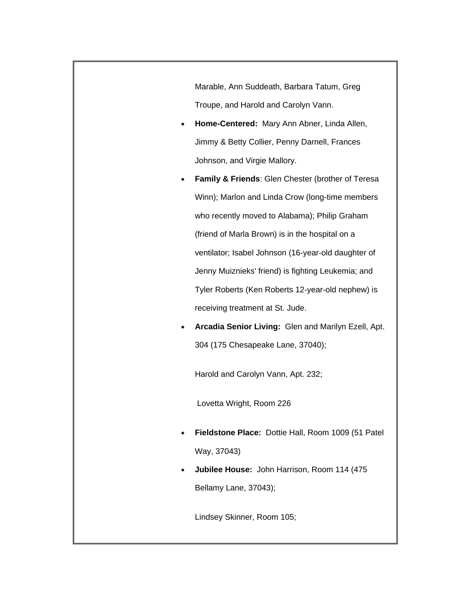Marable, Ann Suddeath, Barbara Tatum, Greg Troupe, and Harold and Carolyn Vann.

- **Home-Centered:** Mary Ann Abner, Linda Allen, Jimmy & Betty Collier, Penny Darnell, Frances Johnson, and Virgie Mallory.
- **Family & Friends: Glen Chester (brother of Teresa)** Winn); Marlon and Linda Crow (long-time members who recently moved to Alabama); Philip Graham (friend of Marla Brown) is in the hospital on a ventilator; Isabel Johnson (16-year-old daughter of Jenny Muiznieks' friend) is fighting Leukemia; and Tyler Roberts (Ken Roberts 12-year-old nephew) is receiving treatment at St. Jude.
- **Arcadia Senior Living:** Glen and Marilyn Ezell, Apt. 304 (175 Chesapeake Lane, 37040);

Harold and Carolyn Vann, Apt. 232;

Lovetta Wright, Room 226

- **Fieldstone Place:** Dottie Hall, Room 1009 (51 Patel Way, 37043)
- **Jubilee House:** John Harrison, Room 114 (475 Bellamy Lane, 37043);

Lindsey Skinner, Room 105;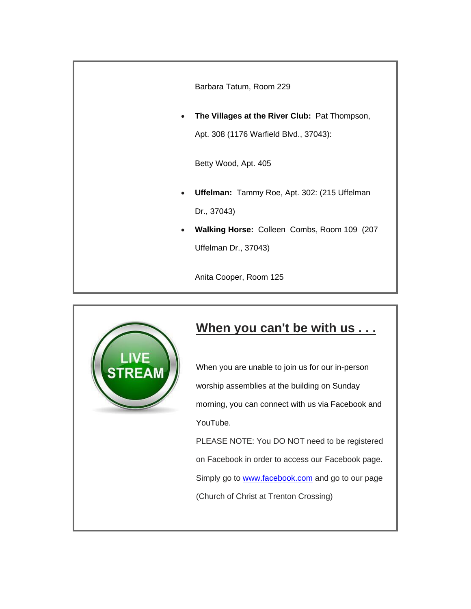Barbara Tatum, Room 229

• **The Villages at the River Club:** Pat Thompson,

Apt. 308 (1176 Warfield Blvd., 37043):

Betty Wood, Apt. 405

- **Uffelman:** Tammy Roe, Apt. 302: (215 Uffelman Dr., 37043)
- **Walking Horse:** Colleen Combs, Room 109 (207 Uffelman Dr., 37043)

Anita Cooper, Room 125



### **When you can't be with us . . .**

When you are unable to join us for our in-person worship assemblies at the building on Sunday morning, you can connect with us via Facebook and YouTube. PLEASE NOTE: You DO NOT need to be registered on Facebook in order to access our Facebook page.

Simply go to [www.facebook.com](http://www.facebook.com/) and go to our page

(Church of Christ at Trenton Crossing)